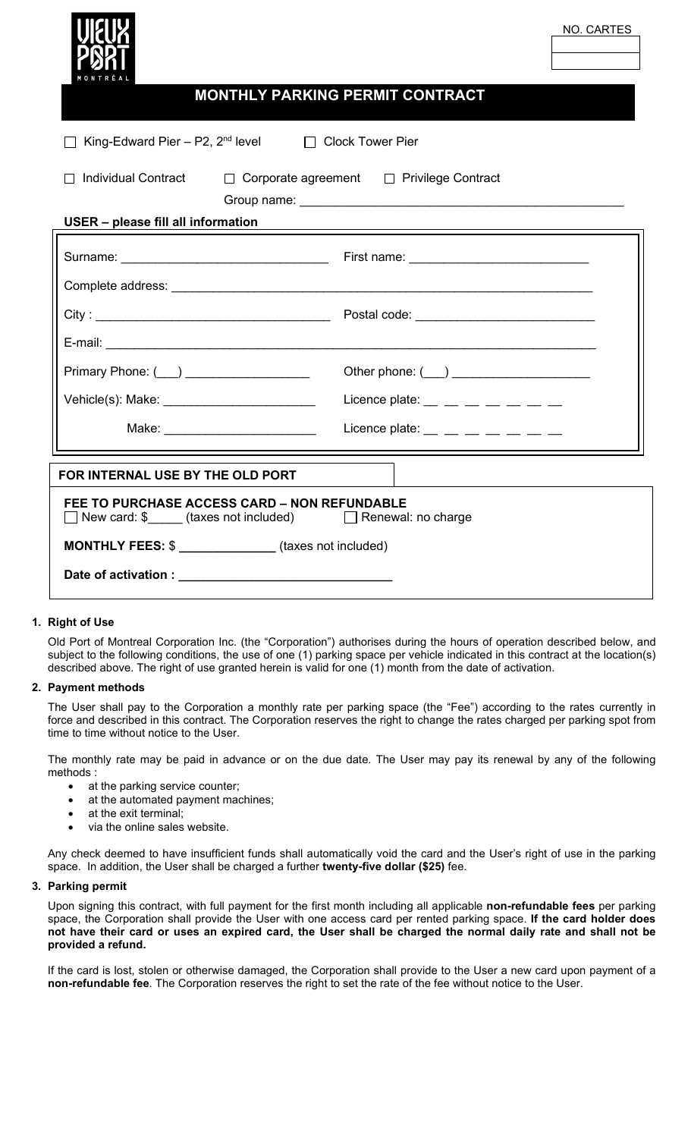| NO. CARTES<br>MONTHLY PARKING PERMIT CONTRACT                                                        |                                                                 |
|------------------------------------------------------------------------------------------------------|-----------------------------------------------------------------|
| King-Edward Pier - P2, $2^{nd}$ level $\Box$ Clock Tower Pier                                        |                                                                 |
| Individual Contract □ Corporate agreement □ Privilege Contract<br>USER - please fill all information |                                                                 |
|                                                                                                      |                                                                 |
|                                                                                                      |                                                                 |
|                                                                                                      |                                                                 |
|                                                                                                      |                                                                 |
| Primary Phone: ( ) __________________                                                                |                                                                 |
| Vehicle(s): Make: ___________________________                                                        | Licence plate: $\_\_$ $\_\_$ $\_$ $\_$ $\_$ $\_$ $\_$ $\_$      |
| Make: ________________________                                                                       | Licence plate: $\_\_$ $\_\_$ $\_\_$ $\_\_$ $\_\_$ $\_\_$ $\_\_$ |
| FOR INTERNAL USE BY THE OLD PORT                                                                     |                                                                 |
| FEE TO PURCHASE ACCESS CARD - NON REFUNDABLE                                                         |                                                                 |
| <b>MONTHLY FEES: \$</b> ______________(taxes not included)                                           |                                                                 |
|                                                                                                      |                                                                 |

# **1. Right of Use**

Old Port of Montreal Corporation Inc. (the "Corporation") authorises during the hours of operation described below, and subject to the following conditions, the use of one (1) parking space per vehicle indicated in this contract at the location(s) described above. The right of use granted herein is valid for one (1) month from the date of activation.

#### **2. Payment methods**

The User shall pay to the Corporation a monthly rate per parking space (the "Fee") according to the rates currently in force and described in this contract. The Corporation reserves the right to change the rates charged per parking spot from time to time without notice to the User.

The monthly rate may be paid in advance or on the due date. The User may pay its renewal by any of the following methods :

- at the parking service counter;
- at the automated payment machines;
- at the exit terminal;
- via the online sales website.

Any check deemed to have insufficient funds shall automatically void the card and the User's right of use in the parking space. In addition, the User shall be charged a further **twenty-five dollar (\$25)** fee.

## **3. Parking permit**

Upon signing this contract, with full payment for the first month including all applicable **non-refundable fees** per parking space, the Corporation shall provide the User with one access card per rented parking space. **If the card holder does not have their card or uses an expired card, the User shall be charged the normal daily rate and shall not be provided a refund.**

If the card is lost, stolen or otherwise damaged, the Corporation shall provide to the User a new card upon payment of a **non-refundable fee**. The Corporation reserves the right to set the rate of the fee without notice to the User.